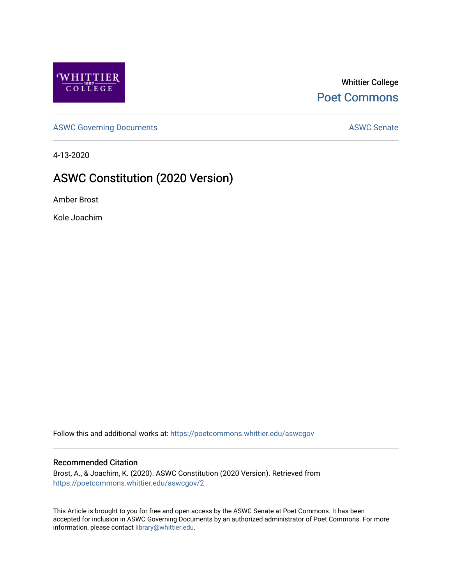

### Whittier College [Poet Commons](https://poetcommons.whittier.edu/)

[ASWC Governing Documents](https://poetcommons.whittier.edu/aswcgov) **ASWC Senate** 

4-13-2020

### ASWC Constitution (2020 Version)

Amber Brost

Kole Joachim

Follow this and additional works at: [https://poetcommons.whittier.edu/aswcgov](https://poetcommons.whittier.edu/aswcgov?utm_source=poetcommons.whittier.edu%2Faswcgov%2F2&utm_medium=PDF&utm_campaign=PDFCoverPages) 

#### Recommended Citation

Brost, A., & Joachim, K. (2020). ASWC Constitution (2020 Version). Retrieved from [https://poetcommons.whittier.edu/aswcgov/2](https://poetcommons.whittier.edu/aswcgov/2?utm_source=poetcommons.whittier.edu%2Faswcgov%2F2&utm_medium=PDF&utm_campaign=PDFCoverPages) 

This Article is brought to you for free and open access by the ASWC Senate at Poet Commons. It has been accepted for inclusion in ASWC Governing Documents by an authorized administrator of Poet Commons. For more information, please contact [library@whittier.edu.](mailto:library@whittier.edu)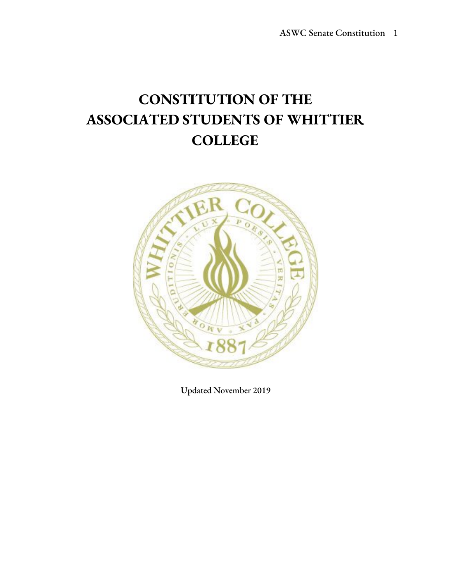# **CONSTITUTION OF THE ASSOCIATED STUDENTS OF WHITTIER COLLEGE**



Updated November 2019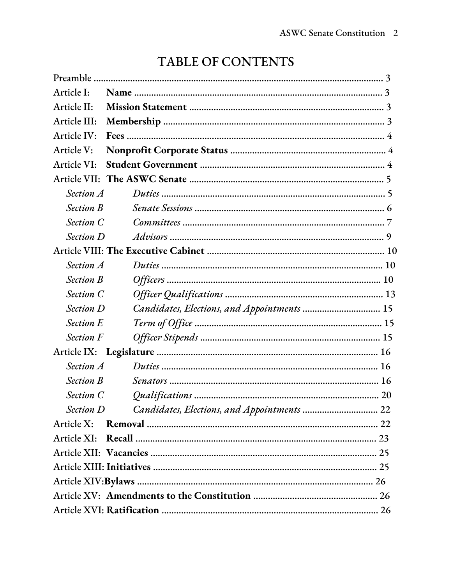| Article I:       |                                             |
|------------------|---------------------------------------------|
| Article II:      |                                             |
| Article III:     |                                             |
| Article IV:      |                                             |
| Article V:       |                                             |
| Article VI:      |                                             |
| Article VII:     |                                             |
| <b>Section A</b> |                                             |
| <b>Section B</b> |                                             |
| <b>Section C</b> |                                             |
| <b>Section D</b> |                                             |
|                  |                                             |
| Section A        |                                             |
| <b>Section B</b> |                                             |
| <b>Section C</b> |                                             |
| <b>Section D</b> | Candidates, Elections, and Appointments  15 |
| <b>Section E</b> |                                             |
| <b>Section F</b> |                                             |
| Article IX:      |                                             |
| <b>Section A</b> |                                             |
| <b>Section B</b> |                                             |
| <b>Section C</b> |                                             |
| Section D        |                                             |
| Article X:       |                                             |
|                  |                                             |
|                  |                                             |
|                  |                                             |
|                  |                                             |
|                  |                                             |
|                  |                                             |

# TABLE OF CONTENTS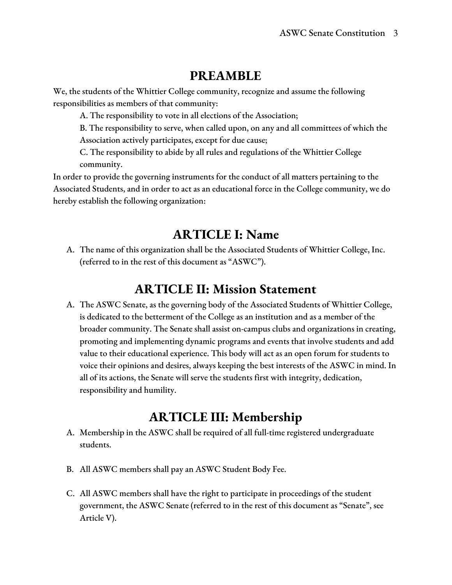### **PREAMBLE**

We, the students of the Whittier College community, recognize and assume the following responsibilities as members of that community:

A. The responsibility to vote in all elections of the Association;

B. The responsibility to serve, when called upon, on any and all committees of which the Association actively participates, except for due cause;

C. The responsibility to abide by all rules and regulations of the Whittier College community.

In order to provide the governing instruments for the conduct of all matters pertaining to the Associated Students, and in order to act as an educational force in the College community, we do hereby establish the following organization:

### **ARTICLE I: Name**

A. The name of this organization shall be the Associated Students of Whittier College, Inc. (referred to in the rest of this document as "ASWC").

### **ARTICLE II: Mission Statement**

A. The ASWC Senate, as the governing body of the Associated Students of Whittier College, is dedicated to the betterment of the College as an institution and as a member of the broader community. The Senate shall assist on-campus clubs and organizations in creating, promoting and implementing dynamic programs and events that involve students and add value to their educational experience. This body will act as an open forum for students to voice their opinions and desires, always keeping the best interests of the ASWC in mind. In all of its actions, the Senate will serve the students first with integrity, dedication, responsibility and humility.

### **ARTICLE III: Membership**

- A. Membership in the ASWC shall be required of all full-time registered undergraduate students.
- B. All ASWC members shall pay an ASWC Student Body Fee.
- C. All ASWC members shall have the right to participate in proceedings of the student government, the ASWC Senate (referred to in the rest of this document as "Senate", see Article V).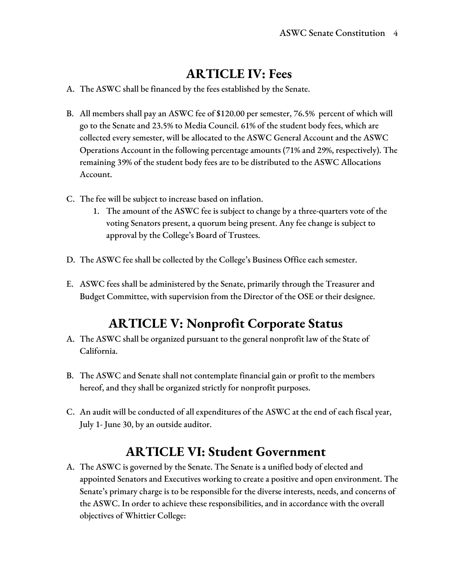### **ARTICLE IV: Fees**

- A. The ASWC shall be financed by the fees established by the Senate.
- B. All members shall pay an ASWC fee of \$120.00 per semester, 76.5% percent of which will go to the Senate and 23.5% to Media Council. 61% of the student body fees, which are collected every semester, will be allocated to the ASWC General Account and the ASWC Operations Account in the following percentage amounts (71% and 29%, respectively). The remaining 39% of the student body fees are to be distributed to the ASWC Allocations Account.
- C. The fee will be subject to increase based on inflation.
	- 1. The amount of the ASWC fee is subject to change by a three-quarters vote of the voting Senators present, a quorum being present. Any fee change is subject to approval by the College's Board of Trustees.
- D. The ASWC fee shall be collected by the College's Business Office each semester.
- E. ASWC fees shall be administered by the Senate, primarily through the Treasurer and Budget Committee, with supervision from the Director of the OSE or their designee.

## **ARTICLE V: Nonprofit Corporate Status**

- A. The ASWC shall be organized pursuant to the general nonprofit law of the State of California.
- B. The ASWC and Senate shall not contemplate financial gain or profit to the members hereof, and they shall be organized strictly for nonprofit purposes.
- C. An audit will be conducted of all expenditures of the ASWC at the end of each fiscal year, July 1- June 30, by an outside auditor.

### **ARTICLE VI: Student Government**

A. The ASWC is governed by the Senate. The Senate is a unified body of elected and appointed Senators and Executives working to create a positive and open environment. The Senate's primary charge is to be responsible for the diverse interests, needs, and concerns of the ASWC. In order to achieve these responsibilities, and in accordance with the overall objectives of Whittier College: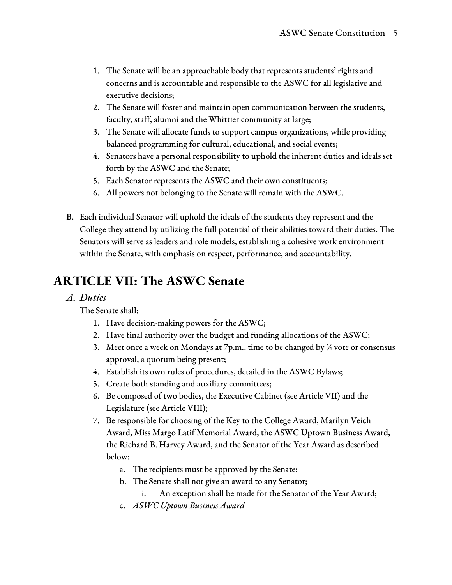- 1. The Senate will be an approachable body that represents students' rights and concerns and is accountable and responsible to the ASWC for all legislative and executive decisions;
- 2. The Senate will foster and maintain open communication between the students, faculty, staff, alumni and the Whittier community at large;
- 3. The Senate will allocate funds to support campus organizations, while providing balanced programming for cultural, educational, and social events;
- 4. Senators have a personal responsibility to uphold the inherent duties and ideals set forth by the ASWC and the Senate;
- 5. Each Senator represents the ASWC and their own constituents;
- 6. All powers not belonging to the Senate will remain with the ASWC.
- B. Each individual Senator will uphold the ideals of the students they represent and the College they attend by utilizing the full potential of their abilities toward their duties. The Senators will serve as leaders and role models, establishing a cohesive work environment within the Senate, with emphasis on respect, performance, and accountability.

### **ARTICLE VII: The ASWC Senate**

#### *A. Duties*

The Senate shall:

- 1. Have decision-making powers for the ASWC;
- 2. Have final authority over the budget and funding allocations of the ASWC;
- 3. Meet once a week on Mondays at  $7p.m.,$  time to be changed by  $\frac{3}{4}$  vote or consensus approval, a quorum being present;
- 4. Establish its own rules of procedures, detailed in the ASWC Bylaws;
- 5. Create both standing and auxiliary committees;
- 6. Be composed of two bodies, the Executive Cabinet (see Article VII) and the Legislature (see Article VIII);
- 7. Be responsible for choosing of the Key to the College Award, Marilyn Veich Award, Miss Margo Latif Memorial Award, the ASWC Uptown Business Award, the Richard B. Harvey Award, and the Senator of the Year Award as described below:
	- a. The recipients must be approved by the Senate;
	- b. The Senate shall not give an award to any Senator;
		- i. An exception shall be made for the Senator of the Year Award;
	- c. *ASWC Uptown Business Award*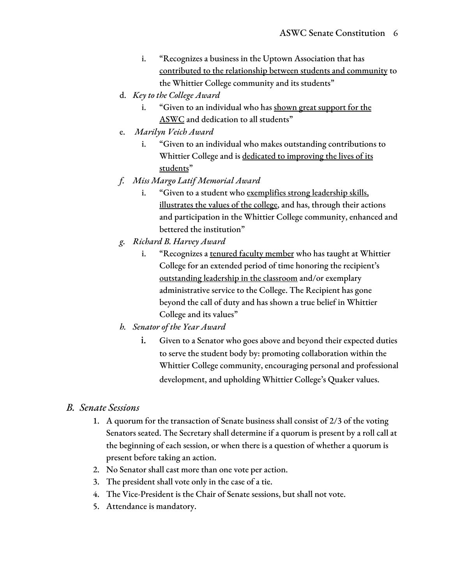- i. "Recognizes a business in the Uptown Association that has contributed to the relationship between students and community to the Whittier College community and its students"
- d. *Key to the College Award*
	- i. "Given to an individual who has shown great support for the ASWC and dedication to all students"
- e. *Marilyn Veich Award*
	- i. "Given to an individual who makes outstanding contributions to Whittier College and is dedicated to improving the lives of its students"
- *f. Miss Margo Latif Memorial Award*
	- i. "Given to a student who exemplifies strong leadership skills, illustrates the values of the college, and has, through their actions and participation in the Whittier College community, enhanced and bettered the institution"
- *g. Richard B. Harvey Award*
	- i. "Recognizes a tenured faculty member who has taught at Whittier College for an extended period of time honoring the recipient's outstanding leadership in the classroom and/or exemplary administrative service to the College. The Recipient has gone beyond the call of duty and has shown a true belief in Whittier College and its values"
- *h. Senator of the Year Award*
	- i. Given to a Senator who goes above and beyond their expected duties to serve the student body by: promoting collaboration within the Whittier College community, encouraging personal and professional development, and upholding Whittier College's Quaker values.

#### *B. Senate Sessions*

- 1. A quorum for the transaction of Senate business shall consist of 2/3 of the voting Senators seated. The Secretary shall determine if a quorum is present by a roll call at the beginning of each session, or when there is a question of whether a quorum is present before taking an action.
- 2. No Senator shall cast more than one vote per action.
- 3. The president shall vote only in the case of a tie.
- 4. The Vice-President is the Chair of Senate sessions, but shall not vote.
- 5. Attendance is mandatory.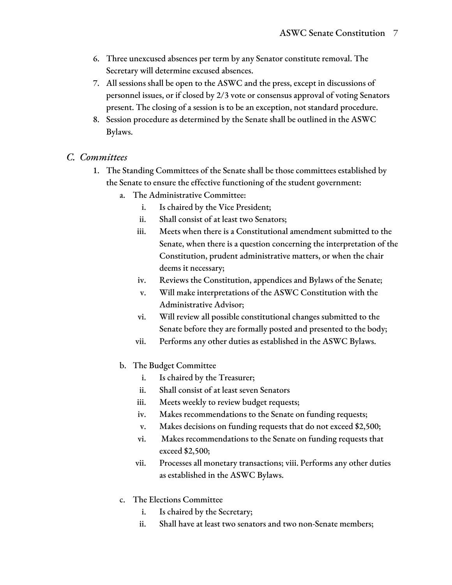- 6. Three unexcused absences per term by any Senator constitute removal. The Secretary will determine excused absences.
- 7. All sessions shall be open to the ASWC and the press, except in discussions of personnel issues, or if closed by 2/3 vote or consensus approval of voting Senators present. The closing of a session is to be an exception, not standard procedure.
- 8. Session procedure as determined by the Senate shall be outlined in the ASWC Bylaws.

#### *C. Committees*

- 1. The Standing Committees of the Senate shall be those committees established by the Senate to ensure the effective functioning of the student government:
	- a. The Administrative Committee:
		- i. Is chaired by the Vice President;
		- ii. Shall consist of at least two Senators;
		- iii. Meets when there is a Constitutional amendment submitted to the Senate, when there is a question concerning the interpretation of the Constitution, prudent administrative matters, or when the chair deems it necessary;
		- iv. Reviews the Constitution, appendices and Bylaws of the Senate;
		- v. Will make interpretations of the ASWC Constitution with the Administrative Advisor;
		- vi. Will review all possible constitutional changes submitted to the Senate before they are formally posted and presented to the body;
		- vii. Performs any other duties as established in the ASWC Bylaws.
	- b. The Budget Committee
		- i. Is chaired by the Treasurer;
		- ii. Shall consist of at least seven Senators
		- iii. Meets weekly to review budget requests;
		- iv. Makes recommendations to the Senate on funding requests;
		- v. Makes decisions on funding requests that do not exceed \$2,500;
		- vi. Makes recommendations to the Senate on funding requests that exceed \$2,500;
		- vii. Processes all monetary transactions; viii. Performs any other duties as established in the ASWC Bylaws.
	- c. The Elections Committee
		- i. Is chaired by the Secretary;
		- ii. Shall have at least two senators and two non-Senate members;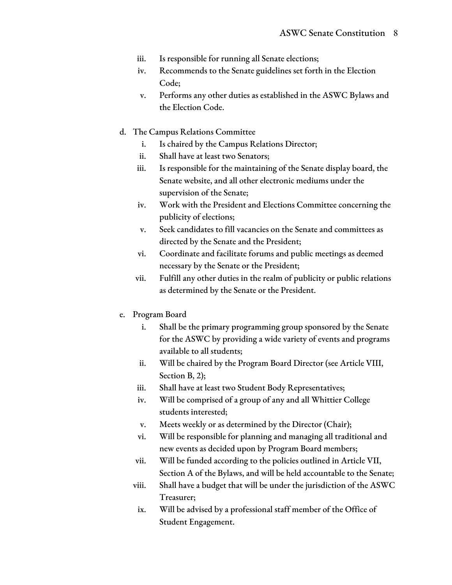- iii. Is responsible for running all Senate elections;
- iv. Recommends to the Senate guidelines set forth in the Election Code;
- v. Performs any other duties as established in the ASWC Bylaws and the Election Code.
- d. The Campus Relations Committee
	- i. Is chaired by the Campus Relations Director;
	- ii. Shall have at least two Senators;
	- iii. Is responsible for the maintaining of the Senate display board, the Senate website, and all other electronic mediums under the supervision of the Senate;
	- iv. Work with the President and Elections Committee concerning the publicity of elections;
	- v. Seek candidates to fill vacancies on the Senate and committees as directed by the Senate and the President;
	- vi. Coordinate and facilitate forums and public meetings as deemed necessary by the Senate or the President;
	- vii. Fulfill any other duties in the realm of publicity or public relations as determined by the Senate or the President.
- e. Program Board
	- i. Shall be the primary programming group sponsored by the Senate for the ASWC by providing a wide variety of events and programs available to all students;
	- ii. Will be chaired by the Program Board Director (see Article VIII, Section B, 2);
	- iii. Shall have at least two Student Body Representatives;
	- iv. Will be comprised of a group of any and all Whittier College students interested;
	- v. Meets weekly or as determined by the Director (Chair);
	- vi. Will be responsible for planning and managing all traditional and new events as decided upon by Program Board members;
	- vii. Will be funded according to the policies outlined in Article VII, Section A of the Bylaws, and will be held accountable to the Senate;
	- viii. Shall have a budget that will be under the jurisdiction of the ASWC Treasurer;
	- ix. Will be advised by a professional staff member of the Office of Student Engagement.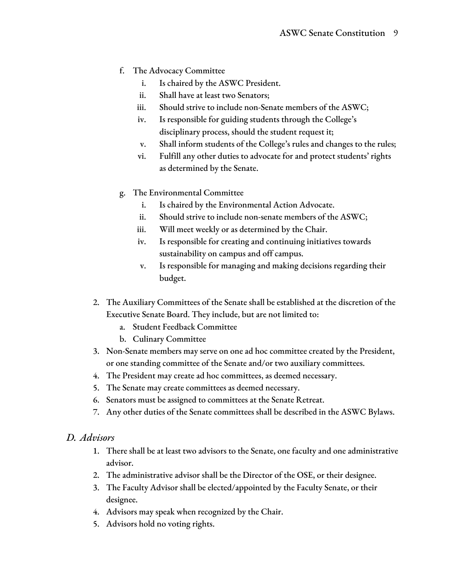- f. The Advocacy Committee
	- i. Is chaired by the ASWC President.
	- ii. Shall have at least two Senators;
	- iii. Should strive to include non-Senate members of the ASWC;
	- iv. Is responsible for guiding students through the College's disciplinary process, should the student request it;
	- v. Shall inform students of the College's rules and changes to the rules;
	- vi. Fulfill any other duties to advocate for and protect students' rights as determined by the Senate.
- g. The Environmental Committee
	- i. Is chaired by the Environmental Action Advocate.
	- ii. Should strive to include non-senate members of the ASWC;
	- iii. Will meet weekly or as determined by the Chair.
	- iv. Is responsible for creating and continuing initiatives towards sustainability on campus and off campus.
	- v. Is responsible for managing and making decisions regarding their budget.
- 2. The Auxiliary Committees of the Senate shall be established at the discretion of the Executive Senate Board. They include, but are not limited to:
	- a. Student Feedback Committee
	- b. Culinary Committee
- 3. Non-Senate members may serve on one ad hoc committee created by the President, or one standing committee of the Senate and/or two auxiliary committees.
- 4. The President may create ad hoc committees, as deemed necessary.
- 5. The Senate may create committees as deemed necessary.
- 6. Senators must be assigned to committees at the Senate Retreat.
- 7. Any other duties of the Senate committees shall be described in the ASWC Bylaws.

#### *D. Advisors*

- 1. There shall be at least two advisors to the Senate, one faculty and one administrative advisor.
- 2. The administrative advisor shall be the Director of the OSE, or their designee.
- 3. The Faculty Advisor shall be elected/appointed by the Faculty Senate, or their designee.
- 4. Advisors may speak when recognized by the Chair.
- 5. Advisors hold no voting rights.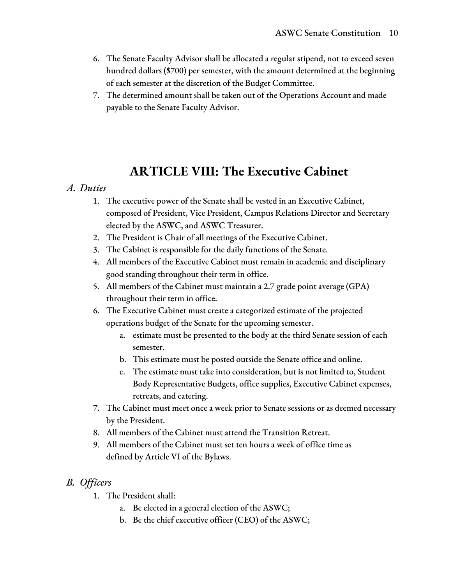- 6. The Senate Faculty Advisor shall be allocated a regular stipend, not to exceed seven hundred dollars (\$700) per semester, with the amount determined at the beginning of each semester at the discretion of the Budget Committee.
- 7. The determined amount shall be taken out of the Operations Account and made payable to the Senate Faculty Advisor.

### **ARTICLE VIII: The Executive Cabinet**

#### *A. Duties*

- 1. The executive power of the Senate shall be vested in an Executive Cabinet, composed of President, Vice President, Campus Relations Director and Secretary elected by the ASWC, and ASWC Treasurer.
- 2. The President is Chair of all meetings of the Executive Cabinet.
- 3. The Cabinet is responsible for the daily functions of the Senate.
- 4. All members of the Executive Cabinet must remain in academic and disciplinary good standing throughout their term in office.
- 5. All members of the Cabinet must maintain a 2.7 grade point average (GPA) throughout their term in office.
- 6. The Executive Cabinet must create a categorized estimate of the projected operations budget of the Senate for the upcoming semester.
	- a. estimate must be presented to the body at the third Senate session of each semester.
	- b. This estimate must be posted outside the Senate office and online.
	- c. The estimate must take into consideration, but is not limited to, Student Body Representative Budgets, office supplies, Executive Cabinet expenses, retreats, and catering.
- 7. The Cabinet must meet once a week prior to Senate sessions or as deemed necessary by the President.
- 8. All members of the Cabinet must attend the Transition Retreat.
- 9. All members of the Cabinet must set ten hours a week of office time as defined by Article VI of the Bylaws.

#### *B. Of icers*

- 1. The President shall:
	- a. Be elected in a general election of the ASWC;
	- b. Be the chief executive officer (CEO) of the ASWC;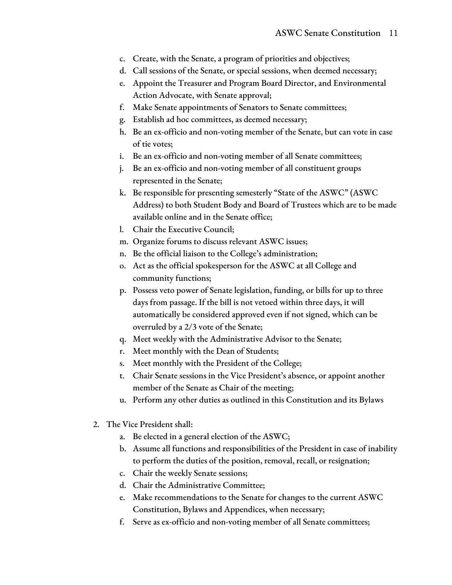- c. Create, with the Senate, a program of priorities and objectives;
- d. Call sessions of the Senate, or special sessions, when deemed necessary;
- e. Appoint the Treasurer and Program Board Director, and Environmental Action Advocate, with Senate approval;
- f. Make Senate appointments of Senators to Senate committees;
- g. Establish ad hoc committees, as deemed necessary;
- h. Be an ex-officio and non-voting member of the Senate, but can vote in case of tie votes;
- i. Be an ex-officio and non-voting member of all Senate committees;
- j. Be an ex-officio and non-voting member of all constituent groups represented in the Senate;
- k. Be responsible for presenting semesterly "State of the ASWC" (ASWC Address) to both Student Body and Board of Trustees which are to be made available online and in the Senate office;
- l. Chair the Executive Council;
- m. Organize forums to discuss relevant ASWC issues;
- n. Be the official liaison to the College's administration;
- o. Act as the official spokesperson for the ASWC at all College and community functions;
- p. Possess veto power of Senate legislation, funding, or bills for up to three days from passage. If the bill is not vetoed within three days, it will automatically be considered approved even if not signed, which can be overruled by a 2/3 vote of the Senate;
- q. Meet weekly with the Administrative Advisor to the Senate;
- r. Meet monthly with the Dean of Students;
- s. Meet monthly with the President of the College;
- t. Chair Senate sessions in the Vice President's absence, or appoint another member of the Senate as Chair of the meeting;
- u. Perform any other duties as outlined in this Constitution and its Bylaws
- 2. The Vice President shall:
	- a. Be elected in a general election of the ASWC;
	- b. Assume all functions and responsibilities of the President in case of inability to perform the duties of the position, removal, recall, or resignation;
	- c. Chair the weekly Senate sessions;
	- d. Chair the Administrative Committee;
	- e. Make recommendations to the Senate for changes to the current ASWC Constitution, Bylaws and Appendices, when necessary;
	- f. Serve as ex-officio and non-voting member of all Senate committees;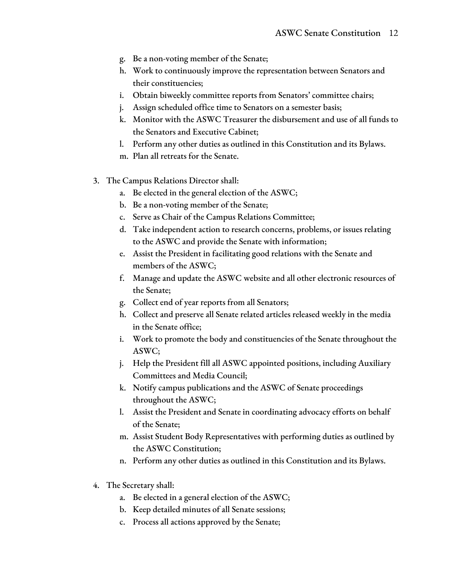- g. Be a non-voting member of the Senate;
- h. Work to continuously improve the representation between Senators and their constituencies;
- i. Obtain biweekly committee reports from Senators' committee chairs;
- j. Assign scheduled office time to Senators on a semester basis;
- k. Monitor with the ASWC Treasurer the disbursement and use of all funds to the Senators and Executive Cabinet;
- l. Perform any other duties as outlined in this Constitution and its Bylaws.
- m. Plan all retreats for the Senate.
- 3. The Campus Relations Director shall:
	- a. Be elected in the general election of the ASWC;
	- b. Be a non-voting member of the Senate;
	- c. Serve as Chair of the Campus Relations Committee;
	- d. Take independent action to research concerns, problems, or issues relating to the ASWC and provide the Senate with information;
	- e. Assist the President in facilitating good relations with the Senate and members of the ASWC;
	- f. Manage and update the ASWC website and all other electronic resources of the Senate;
	- g. Collect end of year reports from all Senators;
	- h. Collect and preserve all Senate related articles released weekly in the media in the Senate office;
	- i. Work to promote the body and constituencies of the Senate throughout the ASWC;
	- j. Help the President fill all ASWC appointed positions, including Auxiliary Committees and Media Council;
	- k. Notify campus publications and the ASWC of Senate proceedings throughout the ASWC;
	- l. Assist the President and Senate in coordinating advocacy efforts on behalf of the Senate;
	- m. Assist Student Body Representatives with performing duties as outlined by the ASWC Constitution;
	- n. Perform any other duties as outlined in this Constitution and its Bylaws.
- 4. The Secretary shall:
	- a. Be elected in a general election of the ASWC;
	- b. Keep detailed minutes of all Senate sessions;
	- c. Process all actions approved by the Senate;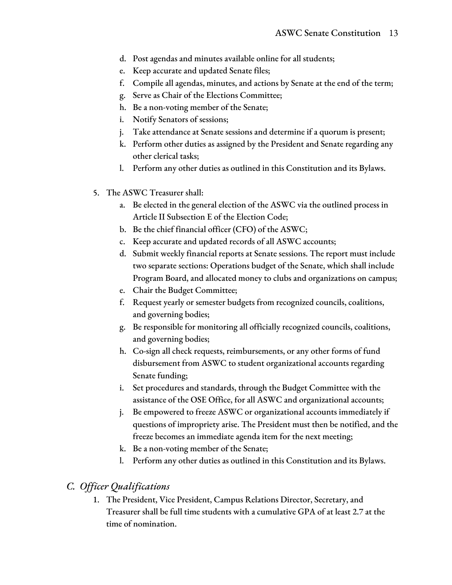- d. Post agendas and minutes available online for all students;
- e. Keep accurate and updated Senate files;
- f. Compile all agendas, minutes, and actions by Senate at the end of the term;
- g. Serve as Chair of the Elections Committee;
- h. Be a non-voting member of the Senate;
- i. Notify Senators of sessions;
- j. Take attendance at Senate sessions and determine if a quorum is present;
- k. Perform other duties as assigned by the President and Senate regarding any other clerical tasks;
- l. Perform any other duties as outlined in this Constitution and its Bylaws.
- 5. The ASWC Treasurer shall:
	- a. Be elected in the general election of the ASWC via the outlined process in Article II Subsection E of the Election Code;
	- b. Be the chief financial officer (CFO) of the ASWC;
	- c. Keep accurate and updated records of all ASWC accounts;
	- d. Submit weekly financial reports at Senate sessions. The report must include two separate sections: Operations budget of the Senate, which shall include Program Board, and allocated money to clubs and organizations on campus;
	- e. Chair the Budget Committee;
	- f. Request yearly or semester budgets from recognized councils, coalitions, and governing bodies;
	- g. Be responsible for monitoring all officially recognized councils, coalitions, and governing bodies;
	- h. Co-sign all check requests, reimbursements, or any other forms of fund disbursement from ASWC to student organizational accounts regarding Senate funding;
	- i. Set procedures and standards, through the Budget Committee with the assistance of the OSE Office, for all ASWC and organizational accounts;
	- j. Be empowered to freeze ASWC or organizational accounts immediately if questions of impropriety arise. The President must then be notified, and the freeze becomes an immediate agenda item for the next meeting;
	- k. Be a non-voting member of the Senate;
	- l. Perform any other duties as outlined in this Constitution and its Bylaws.

#### *C. Of icer Qualifications*

1. The President, Vice President, Campus Relations Director, Secretary, and Treasurer shall be full time students with a cumulative GPA of at least 2.7 at the time of nomination.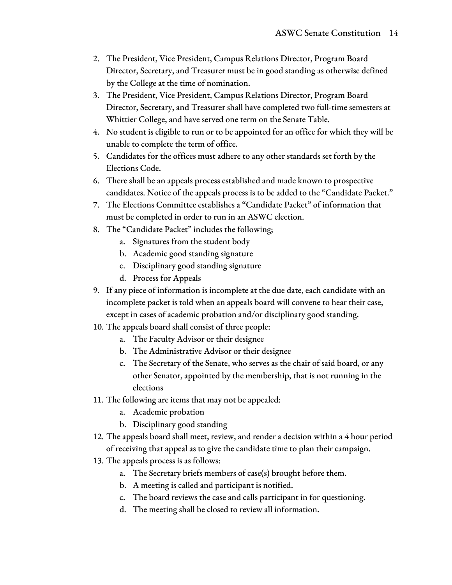- 2. The President, Vice President, Campus Relations Director, Program Board Director, Secretary, and Treasurer must be in good standing as otherwise defined by the College at the time of nomination.
- 3. The President, Vice President, Campus Relations Director, Program Board Director, Secretary, and Treasurer shall have completed two full-time semesters at Whittier College, and have served one term on the Senate Table.
- 4. No student is eligible to run or to be appointed for an office for which they will be unable to complete the term of office.
- 5. Candidates for the offices must adhere to any other standards set forth by the Elections Code.
- 6. There shall be an appeals process established and made known to prospective candidates. Notice of the appeals process is to be added to the "Candidate Packet."
- 7. The Elections Committee establishes a "Candidate Packet" of information that must be completed in order to run in an ASWC election.
- 8. The "Candidate Packet" includes the following;
	- a. Signatures from the student body
	- b. Academic good standing signature
	- c. Disciplinary good standing signature
	- d. Process for Appeals
- 9. If any piece of information is incomplete at the due date, each candidate with an incomplete packet is told when an appeals board will convene to hear their case, except in cases of academic probation and/or disciplinary good standing.
- 10. The appeals board shall consist of three people:
	- a. The Faculty Advisor or their designee
	- b. The Administrative Advisor or their designee
	- c. The Secretary of the Senate, who serves as the chair of said board, or any other Senator, appointed by the membership, that is not running in the elections
- 11. The following are items that may not be appealed:
	- a. Academic probation
	- b. Disciplinary good standing
- 12. The appeals board shall meet, review, and render a decision within a 4 hour period of receiving that appeal as to give the candidate time to plan their campaign.
- 13. The appeals process is as follows:
	- a. The Secretary briefs members of case(s) brought before them.
	- b. A meeting is called and participant is notified.
	- c. The board reviews the case and calls participant in for questioning.
	- d. The meeting shall be closed to review all information.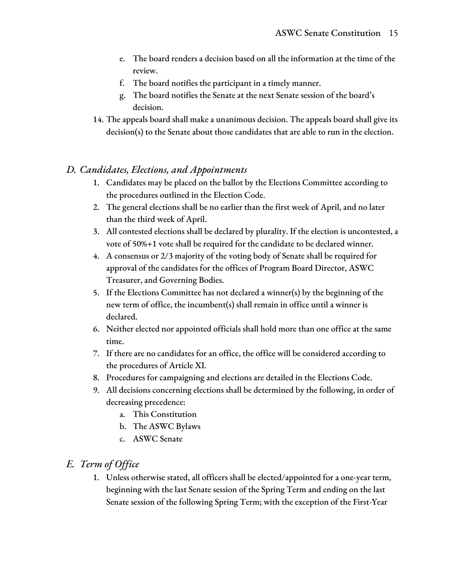- e. The board renders a decision based on all the information at the time of the review.
- f. The board notifies the participant in a timely manner.
- g. The board notifies the Senate at the next Senate session of the board's decision.
- 14. The appeals board shall make a unanimous decision. The appeals board shall give its decision(s) to the Senate about those candidates that are able to run in the election.

#### *D. Candidates, Elections, and Appointments*

- 1. Candidates may be placed on the ballot by the Elections Committee according to the procedures outlined in the Election Code.
- 2. The general elections shall be no earlier than the first week of April, and no later than the third week of April.
- 3. All contested elections shall be declared by plurality. If the election is uncontested, a vote of 50%+1 vote shall be required for the candidate to be declared winner.
- 4. A consensus or 2/3 majority of the voting body of Senate shall be required for approval of the candidates for the offices of Program Board Director, ASWC Treasurer, and Governing Bodies.
- 5. If the Elections Committee has not declared a winner(s) by the beginning of the new term of office, the incumbent(s) shall remain in office until a winner is declared.
- 6. Neither elected nor appointed officials shall hold more than one office at the same time.
- 7. If there are no candidates for an office, the office will be considered according to the procedures of Article XI.
- 8. Procedures for campaigning and elections are detailed in the Elections Code.
- 9. All decisions concerning elections shall be determined by the following, in order of decreasing precedence:
	- a. This Constitution
	- b. The ASWC Bylaws
	- c. ASWC Senate

#### *E. Term of Of ice*

1. Unless otherwise stated, all officers shall be elected/appointed for a one-year term, beginning with the last Senate session of the Spring Term and ending on the last Senate session of the following Spring Term; with the exception of the First-Year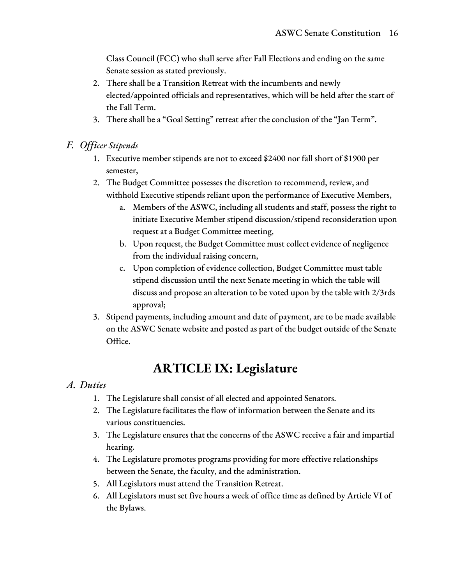Class Council (FCC) who shall serve after Fall Elections and ending on the same Senate session as stated previously.

- 2. There shall be a Transition Retreat with the incumbents and newly elected/appointed officials and representatives, which will be held after the start of the Fall Term.
- 3. There shall be a "Goal Setting" retreat after the conclusion of the "Jan Term".
- *F. Of icer Stipends*
	- 1. Executive member stipends are not to exceed \$2400 nor fall short of \$1900 per semester,
	- 2. The Budget Committee possesses the discretion to recommend, review, and withhold Executive stipends reliant upon the performance of Executive Members,
		- a. Members of the ASWC, including all students and staff, possess the right to initiate Executive Member stipend discussion/stipend reconsideration upon request at a Budget Committee meeting,
		- b. Upon request, the Budget Committee must collect evidence of negligence from the individual raising concern,
		- c. Upon completion of evidence collection, Budget Committee must table stipend discussion until the next Senate meeting in which the table will discuss and propose an alteration to be voted upon by the table with 2/3rds approval;
	- 3. Stipend payments, including amount and date of payment, are to be made available on the ASWC Senate website and posted as part of the budget outside of the Senate Office.

### **ARTICLE IX: Legislature**

#### *A. Duties*

- 1. The Legislature shall consist of all elected and appointed Senators.
- 2. The Legislature facilitates the flow of information between the Senate and its various constituencies.
- 3. The Legislature ensures that the concerns of the ASWC receive a fair and impartial hearing.
- 4. The Legislature promotes programs providing for more effective relationships between the Senate, the faculty, and the administration.
- 5. All Legislators must attend the Transition Retreat.
- 6. All Legislators must set five hours a week of office time as defined by Article VI of the Bylaws.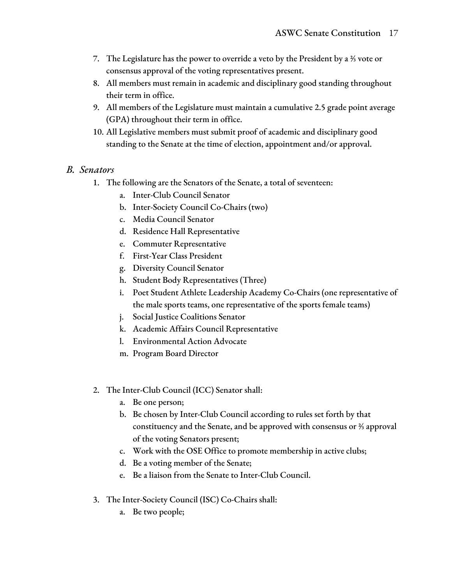- 7. The Legislature has the power to override a veto by the President by a ⅔ vote or consensus approval of the voting representatives present.
- 8. All members must remain in academic and disciplinary good standing throughout their term in office.
- 9. All members of the Legislature must maintain a cumulative 2.5 grade point average (GPA) throughout their term in office.
- 10. All Legislative members must submit proof of academic and disciplinary good standing to the Senate at the time of election, appointment and/or approval.

#### *B. Senators*

- 1. The following are the Senators of the Senate, a total of seventeen:
	- a. Inter-Club Council Senator
	- b. Inter-Society Council Co-Chairs (two)
	- c. Media Council Senator
	- d. Residence Hall Representative
	- e. Commuter Representative
	- f. First-Year Class President
	- g. Diversity Council Senator
	- h. Student Body Representatives (Three)
	- i. Poet Student Athlete Leadership Academy Co-Chairs (one representative of the male sports teams, one representative of the sports female teams)
	- j. Social Justice Coalitions Senator
	- k. Academic Affairs Council Representative
	- l. Environmental Action Advocate
	- m. Program Board Director
- 2. The Inter-Club Council (ICC) Senator shall:
	- a. Be one person;
	- b. Be chosen by Inter-Club Council according to rules set forth by that constituency and the Senate, and be approved with consensus or ⅔ approval of the voting Senators present;
	- c. Work with the OSE Office to promote membership in active clubs;
	- d. Be a voting member of the Senate;
	- e. Be a liaison from the Senate to Inter-Club Council.
- 3. The Inter-Society Council (ISC) Co-Chairs shall:
	- a. Be two people;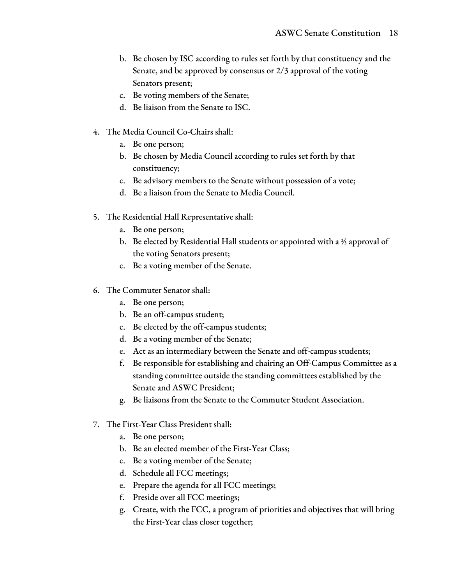- b. Be chosen by ISC according to rules set forth by that constituency and the Senate, and be approved by consensus or 2/3 approval of the voting Senators present;
- c. Be voting members of the Senate;
- d. Be liaison from the Senate to ISC.
- 4. The Media Council Co-Chairs shall:
	- a. Be one person;
	- b. Be chosen by Media Council according to rules set forth by that constituency;
	- c. Be advisory members to the Senate without possession of a vote;
	- d. Be a liaison from the Senate to Media Council.
- 5. The Residential Hall Representative shall:
	- a. Be one person;
	- b. Be elected by Residential Hall students or appointed with a ⅔ approval of the voting Senators present;
	- c. Be a voting member of the Senate.
- 6. The Commuter Senator shall:
	- a. Be one person;
	- b. Be an off-campus student;
	- c. Be elected by the off-campus students;
	- d. Be a voting member of the Senate;
	- e. Act as an intermediary between the Senate and off-campus students;
	- f. Be responsible for establishing and chairing an Off-Campus Committee as a standing committee outside the standing committees established by the Senate and ASWC President;
	- g. Be liaisons from the Senate to the Commuter Student Association.
- 7. The First-Year Class President shall:
	- a. Be one person;
	- b. Be an elected member of the First-Year Class;
	- c. Be a voting member of the Senate;
	- d. Schedule all FCC meetings;
	- e. Prepare the agenda for all FCC meetings;
	- f. Preside over all FCC meetings;
	- g. Create, with the FCC, a program of priorities and objectives that will bring the First-Year class closer together;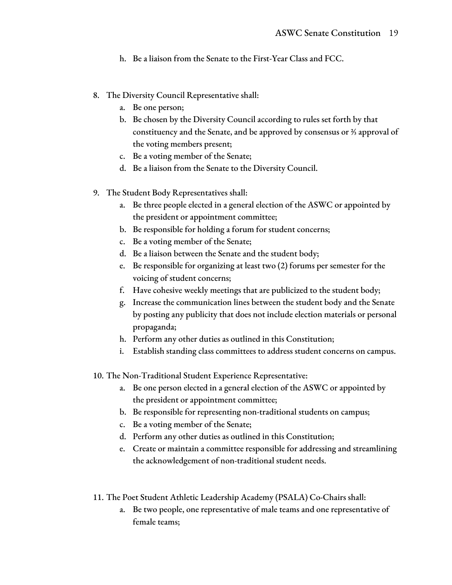- h. Be a liaison from the Senate to the First-Year Class and FCC.
- 8. The Diversity Council Representative shall:
	- a. Be one person;
	- b. Be chosen by the Diversity Council according to rules set forth by that constituency and the Senate, and be approved by consensus or ⅔ approval of the voting members present;
	- c. Be a voting member of the Senate;
	- d. Be a liaison from the Senate to the Diversity Council.
- 9. The Student Body Representatives shall:
	- a. Be three people elected in a general election of the ASWC or appointed by the president or appointment committee;
	- b. Be responsible for holding a forum for student concerns;
	- c. Be a voting member of the Senate;
	- d. Be a liaison between the Senate and the student body;
	- e. Be responsible for organizing at least two (2) forums per semester for the voicing of student concerns;
	- f. Have cohesive weekly meetings that are publicized to the student body;
	- g. Increase the communication lines between the student body and the Senate by posting any publicity that does not include election materials or personal propaganda;
	- h. Perform any other duties as outlined in this Constitution;
	- i. Establish standing class committees to address student concerns on campus.
- 10. The Non-Traditional Student Experience Representative:
	- a. Be one person elected in a general election of the ASWC or appointed by the president or appointment committee;
	- b. Be responsible for representing non-traditional students on campus;
	- c. Be a voting member of the Senate;
	- d. Perform any other duties as outlined in this Constitution;
	- e. Create or maintain a committee responsible for addressing and streamlining the acknowledgement of non-traditional student needs.
- 11. The Poet Student Athletic Leadership Academy (PSALA) Co-Chairs shall:
	- a. Be two people, one representative of male teams and one representative of female teams;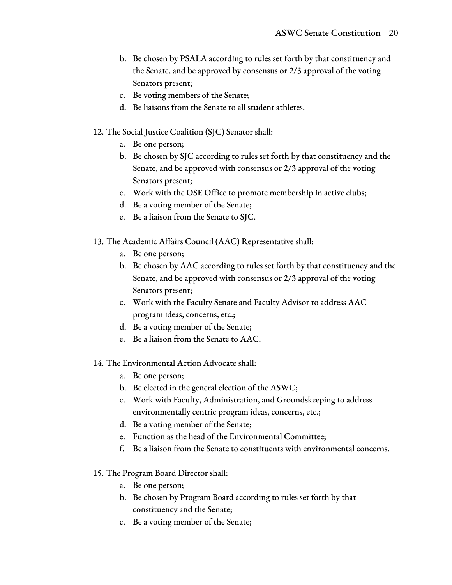- b. Be chosen by PSALA according to rules set forth by that constituency and the Senate, and be approved by consensus or 2/3 approval of the voting Senators present;
- c. Be voting members of the Senate;
- d. Be liaisons from the Senate to all student athletes.
- 12. The Social Justice Coalition (SJC) Senator shall:
	- a. Be one person;
	- b. Be chosen by SJC according to rules set forth by that constituency and the Senate, and be approved with consensus or 2/3 approval of the voting Senators present;
	- c. Work with the OSE Office to promote membership in active clubs;
	- d. Be a voting member of the Senate;
	- e. Be a liaison from the Senate to SJC.
- 13. The Academic Affairs Council (AAC) Representative shall:
	- a. Be one person;
	- b. Be chosen by AAC according to rules set forth by that constituency and the Senate, and be approved with consensus or 2/3 approval of the voting Senators present;
	- c. Work with the Faculty Senate and Faculty Advisor to address AAC program ideas, concerns, etc.;
	- d. Be a voting member of the Senate;
	- e. Be a liaison from the Senate to AAC.
- 14. The Environmental Action Advocate shall:
	- a. Be one person;
	- b. Be elected in the general election of the ASWC;
	- c. Work with Faculty, Administration, and Groundskeeping to address environmentally centric program ideas, concerns, etc.;
	- d. Be a voting member of the Senate;
	- e. Function as the head of the Environmental Committee;
	- f. Be a liaison from the Senate to constituents with environmental concerns.
- 15. The Program Board Director shall:
	- a. Be one person;
	- b. Be chosen by Program Board according to rules set forth by that constituency and the Senate;
	- c. Be a voting member of the Senate;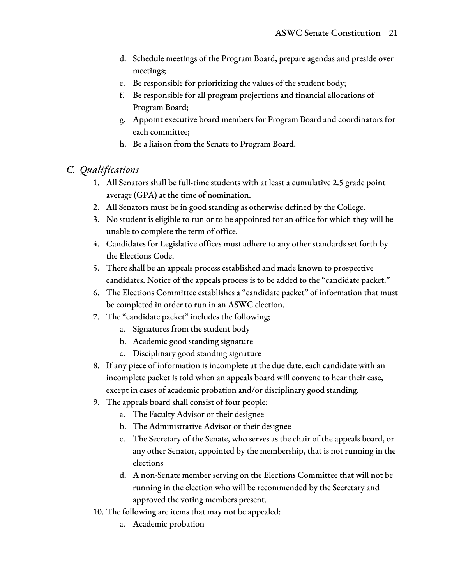- d. Schedule meetings of the Program Board, prepare agendas and preside over meetings;
- e. Be responsible for prioritizing the values of the student body;
- f. Be responsible for all program projections and financial allocations of Program Board;
- g. Appoint executive board members for Program Board and coordinators for each committee;
- h. Be a liaison from the Senate to Program Board.

#### *C. Qualifications*

- 1. All Senators shall be full-time students with at least a cumulative 2.5 grade point average (GPA) at the time of nomination.
- 2. All Senators must be in good standing as otherwise defined by the College.
- 3. No student is eligible to run or to be appointed for an office for which they will be unable to complete the term of office.
- 4. Candidates for Legislative offices must adhere to any other standards set forth by the Elections Code.
- 5. There shall be an appeals process established and made known to prospective candidates. Notice of the appeals process is to be added to the "candidate packet."
- 6. The Elections Committee establishes a "candidate packet" of information that must be completed in order to run in an ASWC election.
- 7. The "candidate packet" includes the following;
	- a. Signatures from the student body
	- b. Academic good standing signature
	- c. Disciplinary good standing signature
- 8. If any piece of information is incomplete at the due date, each candidate with an incomplete packet is told when an appeals board will convene to hear their case, except in cases of academic probation and/or disciplinary good standing.
- 9. The appeals board shall consist of four people:
	- a. The Faculty Advisor or their designee
	- b. The Administrative Advisor or their designee
	- c. The Secretary of the Senate, who serves as the chair of the appeals board, or any other Senator, appointed by the membership, that is not running in the elections
	- d. A non-Senate member serving on the Elections Committee that will not be running in the election who will be recommended by the Secretary and approved the voting members present.
- 10. The following are items that may not be appealed:
	- a. Academic probation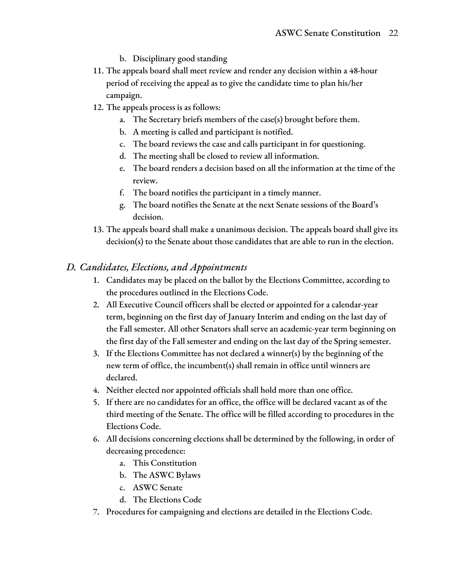- b. Disciplinary good standing
- 11. The appeals board shall meet review and render any decision within a 48-hour period of receiving the appeal as to give the candidate time to plan his/her campaign.
- 12. The appeals process is as follows:
	- a. The Secretary briefs members of the case(s) brought before them.
	- b. A meeting is called and participant is notified.
	- c. The board reviews the case and calls participant in for questioning.
	- d. The meeting shall be closed to review all information.
	- e. The board renders a decision based on all the information at the time of the review.
	- f. The board notifies the participant in a timely manner.
	- g. The board notifies the Senate at the next Senate sessions of the Board's decision.
- 13. The appeals board shall make a unanimous decision. The appeals board shall give its decision(s) to the Senate about those candidates that are able to run in the election.

#### *D. Candidates, Elections, and Appointments*

- 1. Candidates may be placed on the ballot by the Elections Committee, according to the procedures outlined in the Elections Code.
- 2. All Executive Council officers shall be elected or appointed for a calendar-year term, beginning on the first day of January Interim and ending on the last day of the Fall semester. All other Senators shall serve an academic-year term beginning on the first day of the Fall semester and ending on the last day of the Spring semester.
- 3. If the Elections Committee has not declared a winner(s) by the beginning of the new term of office, the incumbent(s) shall remain in office until winners are declared.
- 4. Neither elected nor appointed officials shall hold more than one office.
- 5. If there are no candidates for an office, the office will be declared vacant as of the third meeting of the Senate. The office will be filled according to procedures in the Elections Code.
- 6. All decisions concerning elections shall be determined by the following, in order of decreasing precedence:
	- a. This Constitution
	- b. The ASWC Bylaws
	- c. ASWC Senate
	- d. The Elections Code
- 7. Procedures for campaigning and elections are detailed in the Elections Code.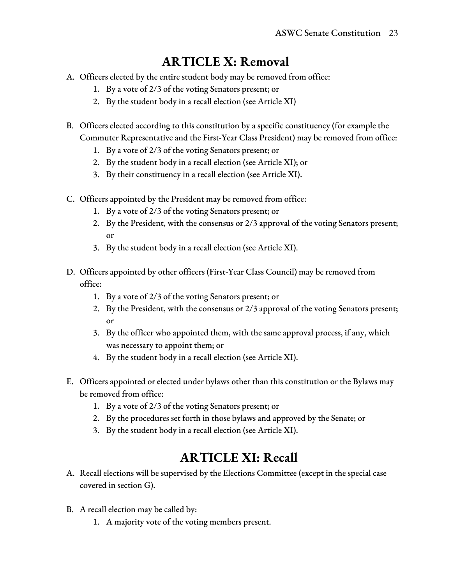# **ARTICLE X: Removal**

- A. Officers elected by the entire student body may be removed from office:
	- 1. By a vote of 2/3 of the voting Senators present; or
	- 2. By the student body in a recall election (see Article XI)
- B. Officers elected according to this constitution by a specific constituency (for example the Commuter Representative and the First-Year Class President) may be removed from office:
	- 1. By a vote of 2/3 of the voting Senators present; or
	- 2. By the student body in a recall election (see Article XI); or
	- 3. By their constituency in a recall election (see Article XI).
- C. Officers appointed by the President may be removed from office:
	- 1. By a vote of 2/3 of the voting Senators present; or
	- 2. By the President, with the consensus or 2/3 approval of the voting Senators present; or
	- 3. By the student body in a recall election (see Article XI).
- D. Officers appointed by other officers (First-Year Class Council) may be removed from office:
	- 1. By a vote of 2/3 of the voting Senators present; or
	- 2. By the President, with the consensus or 2/3 approval of the voting Senators present; or
	- 3. By the officer who appointed them, with the same approval process, if any, which was necessary to appoint them; or
	- 4. By the student body in a recall election (see Article XI).
- E. Officers appointed or elected under bylaws other than this constitution or the Bylaws may be removed from office:
	- 1. By a vote of 2/3 of the voting Senators present; or
	- 2. By the procedures set forth in those bylaws and approved by the Senate; or
	- 3. By the student body in a recall election (see Article XI).

### **ARTICLE XI: Recall**

- A. Recall elections will be supervised by the Elections Committee (except in the special case covered in section G).
- B. A recall election may be called by:
	- 1. A majority vote of the voting members present.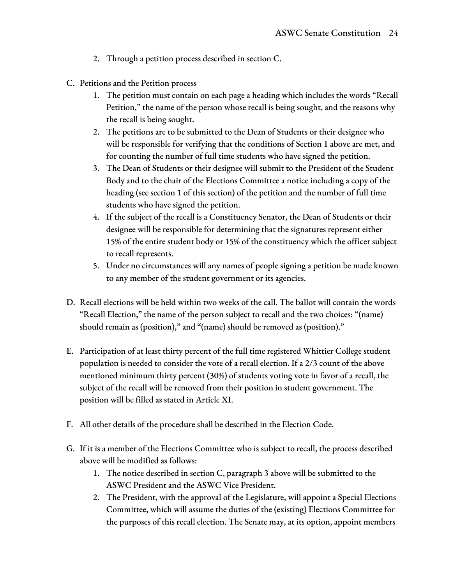- 2. Through a petition process described in section C.
- C. Petitions and the Petition process
	- 1. The petition must contain on each page a heading which includes the words "Recall Petition," the name of the person whose recall is being sought, and the reasons why the recall is being sought.
	- 2. The petitions are to be submitted to the Dean of Students or their designee who will be responsible for verifying that the conditions of Section 1 above are met, and for counting the number of full time students who have signed the petition.
	- 3. The Dean of Students or their designee will submit to the President of the Student Body and to the chair of the Elections Committee a notice including a copy of the heading (see section 1 of this section) of the petition and the number of full time students who have signed the petition.
	- 4. If the subject of the recall is a Constituency Senator, the Dean of Students or their designee will be responsible for determining that the signatures represent either 15% of the entire student body or 15% of the constituency which the officer subject to recall represents.
	- 5. Under no circumstances will any names of people signing a petition be made known to any member of the student government or its agencies.
- D. Recall elections will be held within two weeks of the call. The ballot will contain the words "Recall Election," the name of the person subject to recall and the two choices: "(name) should remain as (position)," and "(name) should be removed as (position)."
- E. Participation of at least thirty percent of the full time registered Whittier College student population is needed to consider the vote of a recall election. If a 2/3 count of the above mentioned minimum thirty percent (30%) of students voting vote in favor of a recall, the subject of the recall will be removed from their position in student government. The position will be filled as stated in Article XI.
- F. All other details of the procedure shall be described in the Election Code.
- G. If it is a member of the Elections Committee who is subject to recall, the process described above will be modified as follows:
	- 1. The notice described in section C, paragraph 3 above will be submitted to the ASWC President and the ASWC Vice President.
	- 2. The President, with the approval of the Legislature, will appoint a Special Elections Committee, which will assume the duties of the (existing) Elections Committee for the purposes of this recall election. The Senate may, at its option, appoint members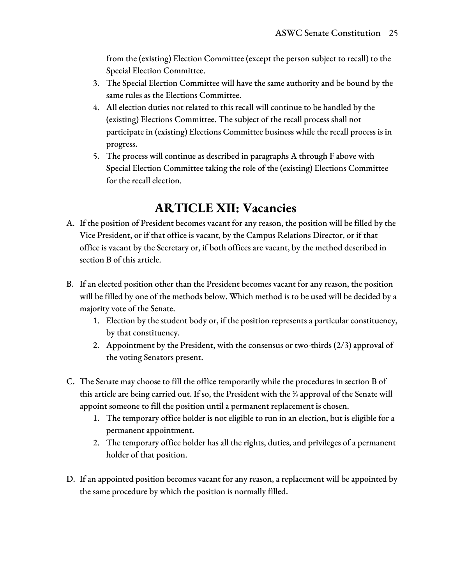from the (existing) Election Committee (except the person subject to recall) to the Special Election Committee.

- 3. The Special Election Committee will have the same authority and be bound by the same rules as the Elections Committee.
- 4. All election duties not related to this recall will continue to be handled by the (existing) Elections Committee. The subject of the recall process shall not participate in (existing) Elections Committee business while the recall process is in progress.
- 5. The process will continue as described in paragraphs A through F above with Special Election Committee taking the role of the (existing) Elections Committee for the recall election.

### **ARTICLE XII: Vacancies**

- A. If the position of President becomes vacant for any reason, the position will be filled by the Vice President, or if that office is vacant, by the Campus Relations Director, or if that office is vacant by the Secretary or, if both offices are vacant, by the method described in section B of this article.
- B. If an elected position other than the President becomes vacant for any reason, the position will be filled by one of the methods below. Which method is to be used will be decided by a majority vote of the Senate.
	- 1. Election by the student body or, if the position represents a particular constituency, by that constituency.
	- 2. Appointment by the President, with the consensus or two-thirds (2/3) approval of the voting Senators present.
- C. The Senate may choose to fill the office temporarily while the procedures in section B of this article are being carried out. If so, the President with the ⅔ approval of the Senate will appoint someone to fill the position until a permanent replacement is chosen.
	- 1. The temporary office holder is not eligible to run in an election, but is eligible for a permanent appointment.
	- 2. The temporary office holder has all the rights, duties, and privileges of a permanent holder of that position.
- D. If an appointed position becomes vacant for any reason, a replacement will be appointed by the same procedure by which the position is normally filled.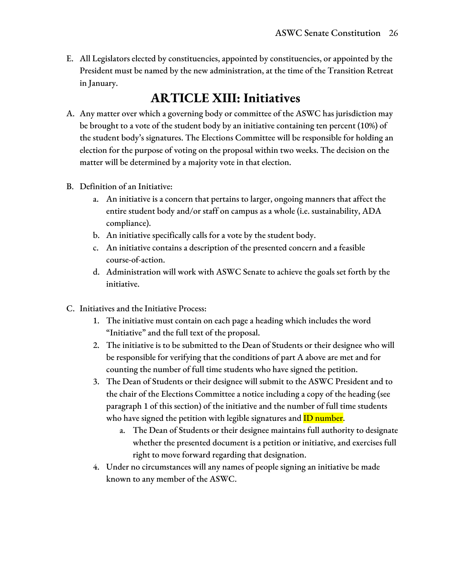E. All Legislators elected by constituencies, appointed by constituencies, or appointed by the President must be named by the new administration, at the time of the Transition Retreat in January.

### **ARTICLE XIII: Initiatives**

- A. Any matter over which a governing body or committee of the ASWC has jurisdiction may be brought to a vote of the student body by an initiative containing ten percent (10%) of the student body's signatures. The Elections Committee will be responsible for holding an election for the purpose of voting on the proposal within two weeks. The decision on the matter will be determined by a majority vote in that election.
- B. Definition of an Initiative:
	- a. An initiative is a concern that pertains to larger, ongoing manners that affect the entire student body and/or staff on campus as a whole (i.e. sustainability, ADA compliance).
	- b. An initiative specifically calls for a vote by the student body.
	- c. An initiative contains a description of the presented concern and a feasible course-of-action.
	- d. Administration will work with ASWC Senate to achieve the goals set forth by the initiative.
- C. Initiatives and the Initiative Process:
	- 1. The initiative must contain on each page a heading which includes the word "Initiative" and the full text of the proposal.
	- 2. The initiative is to be submitted to the Dean of Students or their designee who will be responsible for verifying that the conditions of part A above are met and for counting the number of full time students who have signed the petition.
	- 3. The Dean of Students or their designee will submit to the ASWC President and to the chair of the Elections Committee a notice including a copy of the heading (see paragraph 1 of this section) of the initiative and the number of full time students who have signed the petition with legible signatures and **ID number**.
		- a. The Dean of Students or their designee maintains full authority to designate whether the presented document is a petition or initiative, and exercises full right to move forward regarding that designation.
	- 4. Under no circumstances will any names of people signing an initiative be made known to any member of the ASWC.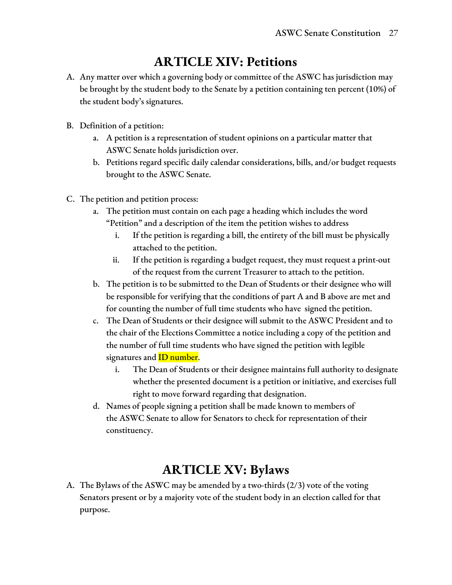### **ARTICLE XIV: Petitions**

- A. Any matter over which a governing body or committee of the ASWC has jurisdiction may be brought by the student body to the Senate by a petition containing ten percent (10%) of the student body's signatures.
- B. Definition of a petition:
	- a. A petition is a representation of student opinions on a particular matter that ASWC Senate holds jurisdiction over.
	- b. Petitions regard specific daily calendar considerations, bills, and/or budget requests brought to the ASWC Senate.
- C. The petition and petition process:
	- a. The petition must contain on each page a heading which includes the word "Petition" and a description of the item the petition wishes to address
		- i. If the petition is regarding a bill, the entirety of the bill must be physically attached to the petition.
		- ii. If the petition is regarding a budget request, they must request a print-out of the request from the current Treasurer to attach to the petition.
	- b. The petition is to be submitted to the Dean of Students or their designee who will be responsible for verifying that the conditions of part A and B above are met and for counting the number of full time students who have signed the petition.
	- c. The Dean of Students or their designee will submit to the ASWC President and to the chair of the Elections Committee a notice including a copy of the petition and the number of full time students who have signed the petition with legible signatures and **ID** number.
		- i. The Dean of Students or their designee maintains full authority to designate whether the presented document is a petition or initiative, and exercises full right to move forward regarding that designation.
	- d. Names of people signing a petition shall be made known to members of the ASWC Senate to allow for Senators to check for representation of their constituency.

### **ARTICLE XV: Bylaws**

A. The Bylaws of the ASWC may be amended by a two-thirds (2/3) vote of the voting Senators present or by a majority vote of the student body in an election called for that purpose.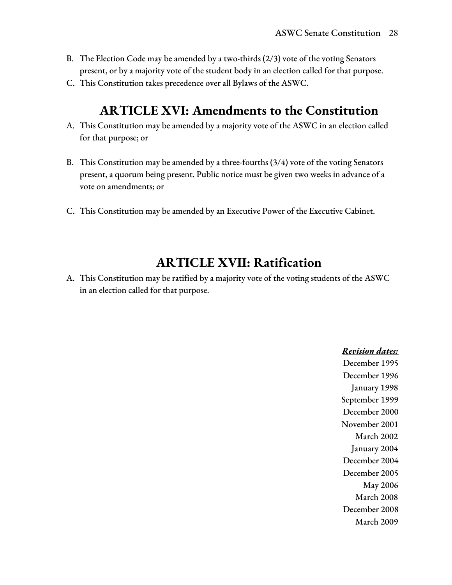- B. The Election Code may be amended by a two-thirds (2/3) vote of the voting Senators present, or by a majority vote of the student body in an election called for that purpose.
- C. This Constitution takes precedence over all Bylaws of the ASWC.

### **ARTICLE XVI: Amendments to the Constitution**

- A. This Constitution may be amended by a majority vote of the ASWC in an election called for that purpose; or
- B. This Constitution may be amended by a three-fourths (3/4) vote of the voting Senators present, a quorum being present. Public notice must be given two weeks in advance of a vote on amendments; or
- C. This Constitution may be amended by an Executive Power of the Executive Cabinet.

### **ARTICLE XVII: Ratification**

A. This Constitution may be ratified by a majority vote of the voting students of the ASWC in an election called for that purpose.

> *Revision dates:* December 1995 December 1996 January 1998 September 1999 December 2000 November 2001 March 2002 January 2004 December 2004 December 2005 May 2006 March 2008 December 2008 March 2009